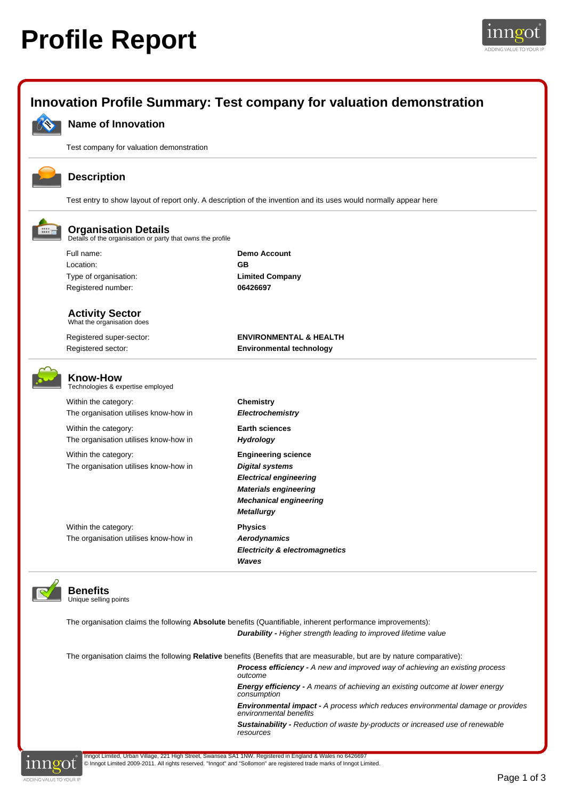## **Profile Report**





**Sustainability -** Reduction of waste by-products or increased use of renewable resources



Inngot Limited, Urban Village, 221 High Street, Swansea SA1 1NW. Registered in England & Wales no 6426697 © Inngot Limited 2009-2011. All rights reserved. "Inngot" and "Sollomon" are registered trade marks of Inngot Limited.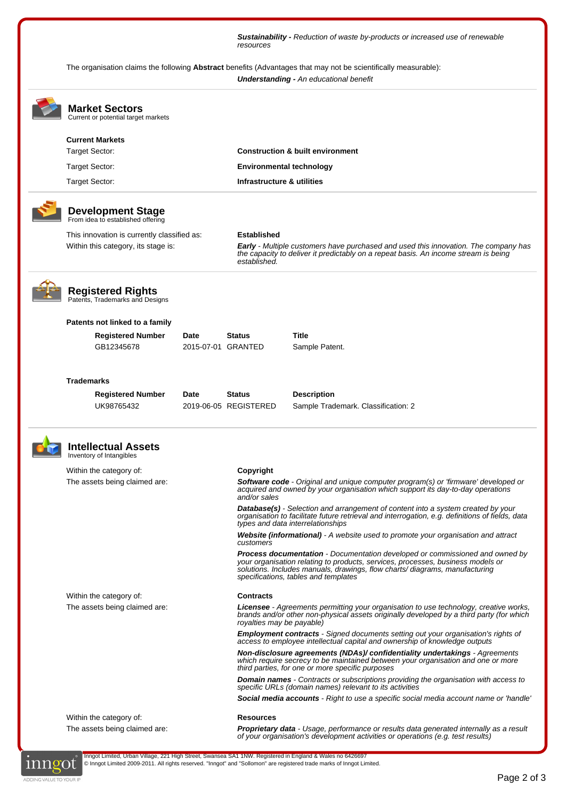**Sustainability -** Reduction of waste by-products or increased use of renewable resources

The organisation claims the following **Abstract** benefits (Advantages that may not be scientifically measurable): **Understanding -** An educational benefit

|  | <b>Market Sectors</b><br>Current or potential target markets  |      |                                                                                                                                                                                                                       |                                                                                                                                                                                                                                                                                              |  |  |
|--|---------------------------------------------------------------|------|-----------------------------------------------------------------------------------------------------------------------------------------------------------------------------------------------------------------------|----------------------------------------------------------------------------------------------------------------------------------------------------------------------------------------------------------------------------------------------------------------------------------------------|--|--|
|  | <b>Current Markets</b>                                        |      |                                                                                                                                                                                                                       |                                                                                                                                                                                                                                                                                              |  |  |
|  | <b>Target Sector:</b><br>Target Sector:<br>Target Sector:     |      | <b>Construction &amp; built environment</b>                                                                                                                                                                           |                                                                                                                                                                                                                                                                                              |  |  |
|  |                                                               |      |                                                                                                                                                                                                                       | <b>Environmental technology</b><br>Infrastructure & utilities                                                                                                                                                                                                                                |  |  |
|  |                                                               |      |                                                                                                                                                                                                                       |                                                                                                                                                                                                                                                                                              |  |  |
|  | <b>Development Stage</b><br>From idea to established offering |      |                                                                                                                                                                                                                       |                                                                                                                                                                                                                                                                                              |  |  |
|  | This innovation is currently classified as:                   |      | <b>Established</b>                                                                                                                                                                                                    | <b>Early</b> - Multiple customers have purchased and used this innovation. The company has<br>the capacity to deliver it predictably on a repeat basis. An income stream is being<br>established.                                                                                            |  |  |
|  | Within this category, its stage is:                           |      |                                                                                                                                                                                                                       |                                                                                                                                                                                                                                                                                              |  |  |
|  | <b>Registered Rights</b><br>Patents, Trademarks and Designs   |      |                                                                                                                                                                                                                       |                                                                                                                                                                                                                                                                                              |  |  |
|  | Patents not linked to a family                                |      |                                                                                                                                                                                                                       |                                                                                                                                                                                                                                                                                              |  |  |
|  | <b>Registered Number</b>                                      | Date | <b>Status</b>                                                                                                                                                                                                         | Title                                                                                                                                                                                                                                                                                        |  |  |
|  | GB12345678                                                    |      | 2015-07-01 GRANTED                                                                                                                                                                                                    | Sample Patent.                                                                                                                                                                                                                                                                               |  |  |
|  | <b>Trademarks</b>                                             |      |                                                                                                                                                                                                                       |                                                                                                                                                                                                                                                                                              |  |  |
|  | <b>Registered Number</b>                                      | Date | Status                                                                                                                                                                                                                | <b>Description</b>                                                                                                                                                                                                                                                                           |  |  |
|  | UK98765432                                                    |      | 2019-06-05 REGISTERED                                                                                                                                                                                                 | Sample Trademark. Classification: 2                                                                                                                                                                                                                                                          |  |  |
|  | <b>Intellectual Assets</b><br>Inventory of Intangibles        |      |                                                                                                                                                                                                                       |                                                                                                                                                                                                                                                                                              |  |  |
|  | Within the category of:                                       |      | Copyright                                                                                                                                                                                                             |                                                                                                                                                                                                                                                                                              |  |  |
|  | The assets being claimed are:                                 |      | and/or sales                                                                                                                                                                                                          | <b>Software code</b> - Original and unique computer program(s) or 'firmware' developed or<br>acquired and owned by your organisation which support its day-to-day operations                                                                                                                 |  |  |
|  |                                                               |      |                                                                                                                                                                                                                       | <b>Database(s)</b> - Selection and arrangement of content into a system created by your<br>organisation to facilitate future retrieval and interrogation, e.g. definitions of fields, data<br>types and data interrelationships                                                              |  |  |
|  |                                                               |      | customers                                                                                                                                                                                                             | Website (informational) - A website used to promote your organisation and attract                                                                                                                                                                                                            |  |  |
|  |                                                               |      |                                                                                                                                                                                                                       | <b>Process documentation</b> - Documentation developed or commissioned and owned by<br>your organisation relating to products, services, processes, business models or<br>solutions. Includes manuals, drawings, flow charts/diagrams, manufacturing<br>specifications, tables and templates |  |  |
|  | Within the category of:                                       |      | <b>Contracts</b>                                                                                                                                                                                                      |                                                                                                                                                                                                                                                                                              |  |  |
|  | The assets being claimed are:                                 |      | <b>Licensee</b> - Agreements permitting your organisation to use technology, creative works,<br>brands and/or other non-physical assets originally developed by a third party (for which<br>royalties may be payable) |                                                                                                                                                                                                                                                                                              |  |  |
|  |                                                               |      |                                                                                                                                                                                                                       | <b>Employment contracts</b> - Signed documents setting out your organisation's rights of<br>access to employee intellectual capital and ownership of knowledge outputs                                                                                                                       |  |  |
|  |                                                               |      |                                                                                                                                                                                                                       | Non-disclosure agreements (NDAs)/ confidentiality undertakings - Agreements<br>which require secrecy to be maintained between your organisation and one or more<br>third parties, for one or more specific purposes                                                                          |  |  |
|  |                                                               |      |                                                                                                                                                                                                                       | <b>Domain names</b> - Contracts or subscriptions providing the organisation with access to<br>specific URLs (domain names) relevant to its activities                                                                                                                                        |  |  |
|  |                                                               |      |                                                                                                                                                                                                                       | <b>Social media accounts</b> - Right to use a specific social media account name or 'handle'                                                                                                                                                                                                 |  |  |
|  | Within the category of:                                       |      | <b>Resources</b>                                                                                                                                                                                                      |                                                                                                                                                                                                                                                                                              |  |  |
|  | The assets being claimed are:                                 |      |                                                                                                                                                                                                                       | Proprietary data - Usage, performance or results data generated internally as a result<br>of your organisation's development activities or operations (e.g. test results)                                                                                                                    |  |  |



Inngot Limited, Urban Village, 221 High Street, Swansea SA1 1NW. Registered in England & Wales no 6426697 © Inngot Limited 2009-2011. All rights reserved. "Inngot" and "Sollomon" are registered trade marks of Inngot Limited.